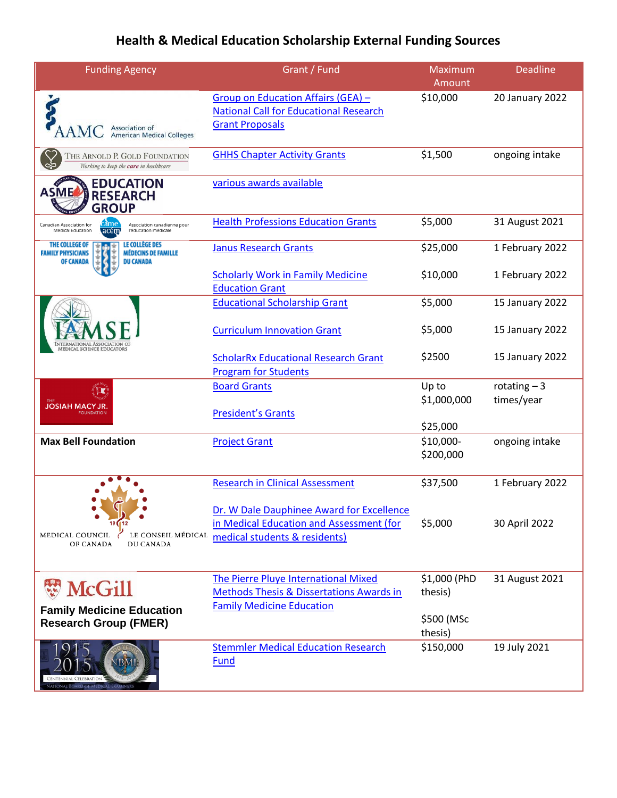## **Health & Medical Education Scholarship External Funding Sources**

| <b>Funding Agency</b>                                                                                                                     | Grant / Fund                                                                                                           | Maximum<br>Amount       | <b>Deadline</b>             |
|-------------------------------------------------------------------------------------------------------------------------------------------|------------------------------------------------------------------------------------------------------------------------|-------------------------|-----------------------------|
| Association of<br><b>American Medical Colleges</b>                                                                                        | Group on Education Affairs (GEA) -<br><b>National Call for Educational Research</b><br><b>Grant Proposals</b>          | \$10,000                | 20 January 2022             |
| THE ARNOLD P. GOLD FOUNDATION<br>Working to keep the care in healthcare                                                                   | <b>GHHS Chapter Activity Grants</b>                                                                                    | \$1,500                 | ongoing intake              |
| <b>EDUCATION</b><br><b>ASME</b><br><b>RESEARCH</b><br><b>GROUP</b>                                                                        | various awards available                                                                                               |                         |                             |
| came<br>Canadian Association for<br>Association canadienne pour<br>acém<br>Medical Education<br>l'éducation médicale                      | <b>Health Professions Education Grants</b>                                                                             | \$5,000                 | 31 August 2021              |
| <b>LE COLLÈGE DES</b><br>THE COLLEGE OF<br><b>MÉDECINS DE FAMILLE</b><br><b>FAMILY PHYSICIANS</b><br><b>OF CANADA</b><br><b>DU CANADA</b> | <b>Janus Research Grants</b>                                                                                           | \$25,000                | 1 February 2022             |
|                                                                                                                                           | <b>Scholarly Work in Family Medicine</b><br><b>Education Grant</b>                                                     | \$10,000                | 1 February 2022             |
|                                                                                                                                           | <b>Educational Scholarship Grant</b>                                                                                   | \$5,000                 | 15 January 2022             |
|                                                                                                                                           | <b>Curriculum Innovation Grant</b>                                                                                     | \$5,000                 | 15 January 2022             |
| <b>EDICAL SCIENCE EDUCATORS</b>                                                                                                           | <b>ScholarRx Educational Research Grant</b><br><b>Program for Students</b>                                             | \$2500                  | 15 January 2022             |
| <b>JOSIAH MACY JR.</b>                                                                                                                    | <b>Board Grants</b>                                                                                                    | Up to<br>\$1,000,000    | rotating $-3$<br>times/year |
|                                                                                                                                           | <b>President's Grants</b>                                                                                              | \$25,000                |                             |
| <b>Max Bell Foundation</b>                                                                                                                | <b>Project Grant</b>                                                                                                   | \$10,000-<br>\$200,000  | ongoing intake              |
|                                                                                                                                           | <b>Research in Clinical Assessment</b>                                                                                 | \$37,500                | 1 February 2022             |
| LE CONSEIL MÉDICAL<br>MEDICAL COUNCIL<br>OF CANADA<br>DU CANADA                                                                           | Dr. W Dale Dauphinee Award for Excellence<br>in Medical Education and Assessment (for<br>medical students & residents) | \$5,000                 | 30 April 2022               |
| <b>W</b> McGill                                                                                                                           | The Pierre Pluye International Mixed<br><b>Methods Thesis &amp; Dissertations Awards in</b>                            | \$1,000 (PhD<br>thesis) | 31 August 2021              |
| <b>Family Medicine Education</b><br><b>Research Group (FMER)</b>                                                                          | <b>Family Medicine Education</b>                                                                                       | \$500 (MSc<br>thesis)   |                             |
| CENTENNIAL CELEBRATION<br><b>NATIONAL BOARD OF MEDICAL EXAMINERS</b>                                                                      | <b>Stemmler Medical Education Research</b><br><b>Fund</b>                                                              | \$150,000               | 19 July 2021                |